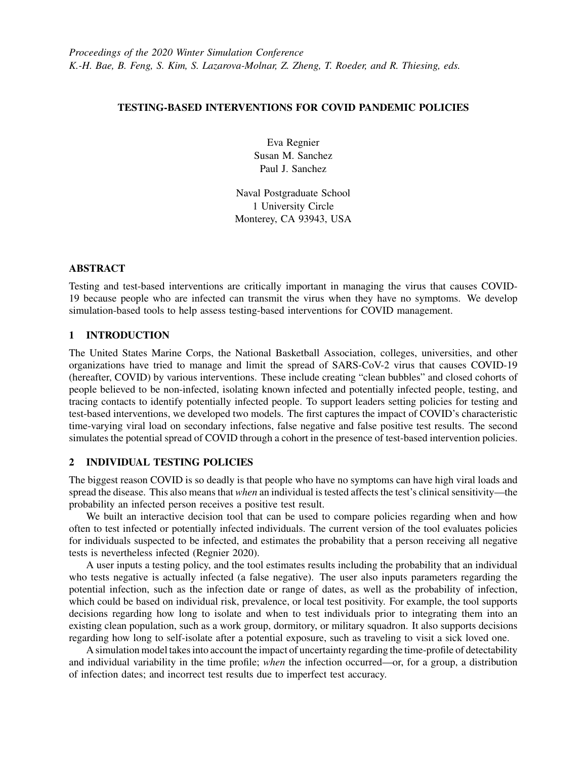## TESTING-BASED INTERVENTIONS FOR COVID PANDEMIC POLICIES

Eva Regnier Susan M. Sanchez Paul J. Sanchez

Naval Postgraduate School 1 University Circle Monterey, CA 93943, USA

## ABSTRACT

Testing and test-based interventions are critically important in managing the virus that causes COVID-19 because people who are infected can transmit the virus when they have no symptoms. We develop simulation-based tools to help assess testing-based interventions for COVID management.

# 1 INTRODUCTION

The United States Marine Corps, the National Basketball Association, colleges, universities, and other organizations have tried to manage and limit the spread of SARS-CoV-2 virus that causes COVID-19 (hereafter, COVID) by various interventions. These include creating "clean bubbles" and closed cohorts of people believed to be non-infected, isolating known infected and potentially infected people, testing, and tracing contacts to identify potentially infected people. To support leaders setting policies for testing and test-based interventions, we developed two models. The first captures the impact of COVID's characteristic time-varying viral load on secondary infections, false negative and false positive test results. The second simulates the potential spread of COVID through a cohort in the presence of test-based intervention policies.

# 2 INDIVIDUAL TESTING POLICIES

The biggest reason COVID is so deadly is that people who have no symptoms can have high viral loads and spread the disease. This also means that *when* an individual is tested affects the test's clinical sensitivity—the probability an infected person receives a positive test result.

We built an interactive decision tool that can be used to compare policies regarding when and how often to test infected or potentially infected individuals. The current version of the tool evaluates policies for individuals suspected to be infected, and estimates the probability that a person receiving all negative tests is nevertheless infected [\(Regnier 2020\)](#page-1-0).

A user inputs a testing policy, and the tool estimates results including the probability that an individual who tests negative is actually infected (a false negative). The user also inputs parameters regarding the potential infection, such as the infection date or range of dates, as well as the probability of infection, which could be based on individual risk, prevalence, or local test positivity. For example, the tool supports decisions regarding how long to isolate and when to test individuals prior to integrating them into an existing clean population, such as a work group, dormitory, or military squadron. It also supports decisions regarding how long to self-isolate after a potential exposure, such as traveling to visit a sick loved one.

A simulation model takes into account the impact of uncertainty regarding the time-profile of detectability and individual variability in the time profile; *when* the infection occurred—or, for a group, a distribution of infection dates; and incorrect test results due to imperfect test accuracy.